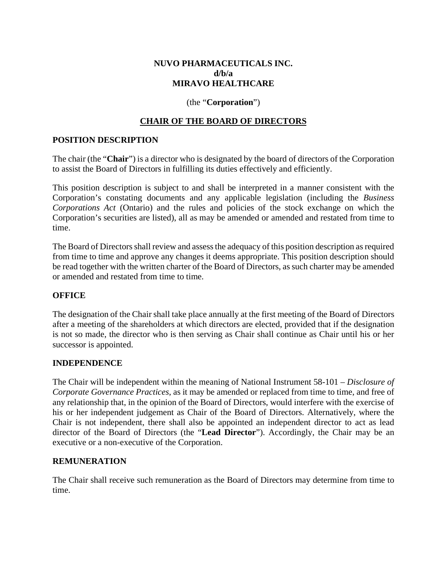# **NUVO PHARMACEUTICALS INC. d/b/a MIRAVO HEALTHCARE**

### (the "**Corporation**")

# **CHAIR OF THE BOARD OF DIRECTORS**

### **POSITION DESCRIPTION**

The chair (the "**Chair**") is a director who is designated by the board of directors of the Corporation to assist the Board of Directors in fulfilling its duties effectively and efficiently.

This position description is subject to and shall be interpreted in a manner consistent with the Corporation's constating documents and any applicable legislation (including the *Business Corporations Act* (Ontario) and the rules and policies of the stock exchange on which the Corporation's securities are listed), all as may be amended or amended and restated from time to time.

The Board of Directors shall review and assess the adequacy of this position description as required from time to time and approve any changes it deems appropriate. This position description should be read together with the written charter of the Board of Directors, as such charter may be amended or amended and restated from time to time.

#### **OFFICE**

The designation of the Chair shall take place annually at the first meeting of the Board of Directors after a meeting of the shareholders at which directors are elected, provided that if the designation is not so made, the director who is then serving as Chair shall continue as Chair until his or her successor is appointed.

#### **INDEPENDENCE**

The Chair will be independent within the meaning of National Instrument 58-101 – *Disclosure of Corporate Governance Practices*, as it may be amended or replaced from time to time, and free of any relationship that, in the opinion of the Board of Directors, would interfere with the exercise of his or her independent judgement as Chair of the Board of Directors. Alternatively, where the Chair is not independent, there shall also be appointed an independent director to act as lead director of the Board of Directors (the "**Lead Director**"). Accordingly, the Chair may be an executive or a non-executive of the Corporation.

#### **REMUNERATION**

The Chair shall receive such remuneration as the Board of Directors may determine from time to time.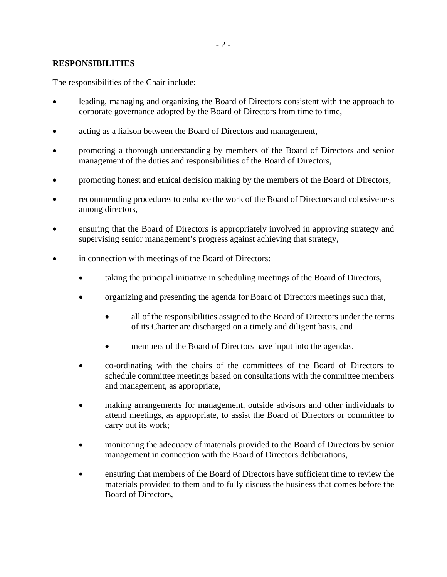## **RESPONSIBILITIES**

The responsibilities of the Chair include:

- leading, managing and organizing the Board of Directors consistent with the approach to corporate governance adopted by the Board of Directors from time to time,
- acting as a liaison between the Board of Directors and management,
- promoting a thorough understanding by members of the Board of Directors and senior management of the duties and responsibilities of the Board of Directors,
- promoting honest and ethical decision making by the members of the Board of Directors,
- recommending procedures to enhance the work of the Board of Directors and cohesiveness among directors,
- ensuring that the Board of Directors is appropriately involved in approving strategy and supervising senior management's progress against achieving that strategy,
- in connection with meetings of the Board of Directors:
	- taking the principal initiative in scheduling meetings of the Board of Directors,
	- organizing and presenting the agenda for Board of Directors meetings such that,
		- all of the responsibilities assigned to the Board of Directors under the terms of its Charter are discharged on a timely and diligent basis, and
		- members of the Board of Directors have input into the agendas,
	- co-ordinating with the chairs of the committees of the Board of Directors to schedule committee meetings based on consultations with the committee members and management, as appropriate,
	- making arrangements for management, outside advisors and other individuals to attend meetings, as appropriate, to assist the Board of Directors or committee to carry out its work;
	- monitoring the adequacy of materials provided to the Board of Directors by senior management in connection with the Board of Directors deliberations,
	- ensuring that members of the Board of Directors have sufficient time to review the materials provided to them and to fully discuss the business that comes before the Board of Directors,